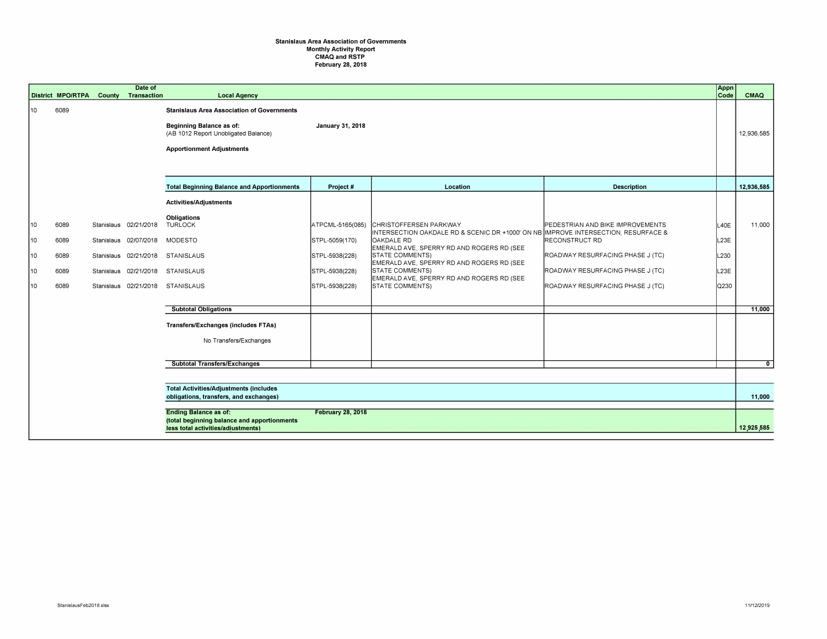## **Stanislaus Area Association of Governments Monthly Activity Report CMAQ and RSTP February 28, 2018**

|    | <b>District MPO/RTPA</b>                                                                | County | Date of<br>Transaction | <b>Local Agency</b>                                                                                                                                              |                  |                                                                                                              |                                  | Appn<br>Code | CMAQ           |
|----|-----------------------------------------------------------------------------------------|--------|------------------------|------------------------------------------------------------------------------------------------------------------------------------------------------------------|------------------|--------------------------------------------------------------------------------------------------------------|----------------------------------|--------------|----------------|
| 10 | 6089                                                                                    |        |                        | <b>Stanislaus Area Association of Governments</b><br><b>Beginning Balance as of:</b><br>(AB 1012 Report Unobligated Balance)<br><b>Apportionment Adjustments</b> | January 31, 2018 |                                                                                                              |                                  |              | 12,936,585     |
|    |                                                                                         |        |                        |                                                                                                                                                                  |                  |                                                                                                              |                                  |              |                |
|    |                                                                                         |        |                        | <b>Total Beginning Balance and Apportionments</b>                                                                                                                | Project#         | Location                                                                                                     | <b>Description</b>               |              | 12,936,585     |
|    |                                                                                         |        |                        | <b>Activities/Adjustments</b>                                                                                                                                    |                  |                                                                                                              |                                  |              |                |
| 10 | 6089                                                                                    |        | Stanislaus 02/21/2018  | Obligations<br><b>TURLOCK</b>                                                                                                                                    | ATPCML-5165(085) | CHRISTOFFERSEN PARKWAY<br>INTERSECTION OAKDALE RD & SCENIC DR +1000' ON NB IMPROVE INTERSECTION, RESURFACE & | PEDESTRIAN AND BIKE IMPROVEMENTS | L40E         | 11,000         |
| 10 | 6089                                                                                    |        | Stanislaus 02/07/2018  | MODESTO                                                                                                                                                          | STPL-5059(170)   | <b>OAKDALE RD</b><br>EMERALD AVE, SPERRY RD AND ROGERS RD (SEE                                               | <b>RECONSTRUCT RD</b>            | L23E         |                |
| 10 | 6089                                                                                    |        | Stanislaus 02/21/2018  | STANISLAUS                                                                                                                                                       | STPL-5938(228)   | <b>STATE COMMENTS)</b><br>EMERALD AVE, SPERRY RD AND ROGERS RD (SEE                                          | ROADWAY RESURFACING PHASE J (TC) | L230         |                |
| 10 | 6089                                                                                    |        | Stanislaus 02/21/2018  | STANISLAUS                                                                                                                                                       | STPL-5938(228)   | <b>STATE COMMENTS)</b><br>EMERALD AVE, SPERRY RD AND ROGERS RD (SEE                                          | ROADWAY RESURFACING PHASE J (TC) | L23E         |                |
| 10 | 6089                                                                                    |        |                        | Stanislaus 02/21/2018 STANISLAUS                                                                                                                                 | STPL-5938(228)   | <b>STATE COMMENTS)</b>                                                                                       | ROADWAY RESURFACING PHASE J (TC) | Q230         |                |
|    |                                                                                         |        |                        | <b>Subtotal Obligations</b>                                                                                                                                      |                  |                                                                                                              |                                  |              | 11,000         |
|    |                                                                                         |        |                        | Transfers/Exchanges (includes FTAs)                                                                                                                              |                  |                                                                                                              |                                  |              |                |
|    |                                                                                         |        |                        | No Transfers/Exchanges                                                                                                                                           |                  |                                                                                                              |                                  |              |                |
|    |                                                                                         |        |                        | <b>Subtotal Transfers/Exchanges</b>                                                                                                                              |                  |                                                                                                              |                                  |              | $\overline{0}$ |
|    |                                                                                         |        |                        |                                                                                                                                                                  |                  |                                                                                                              |                                  |              |                |
|    | <b>Total Activities/Adjustments (includes</b><br>obligations, transfers, and exchanges) |        |                        |                                                                                                                                                                  |                  |                                                                                                              |                                  |              | 11.000         |
|    | <b>February 28, 2018</b><br><b>Ending Balance as of:</b>                                |        |                        |                                                                                                                                                                  |                  |                                                                                                              |                                  |              |                |
|    |                                                                                         |        |                        | (total beginning balance and apportionments<br>less total activities/adjustments)                                                                                |                  |                                                                                                              |                                  |              | 12.925.585     |
|    |                                                                                         |        |                        |                                                                                                                                                                  |                  |                                                                                                              |                                  |              |                |